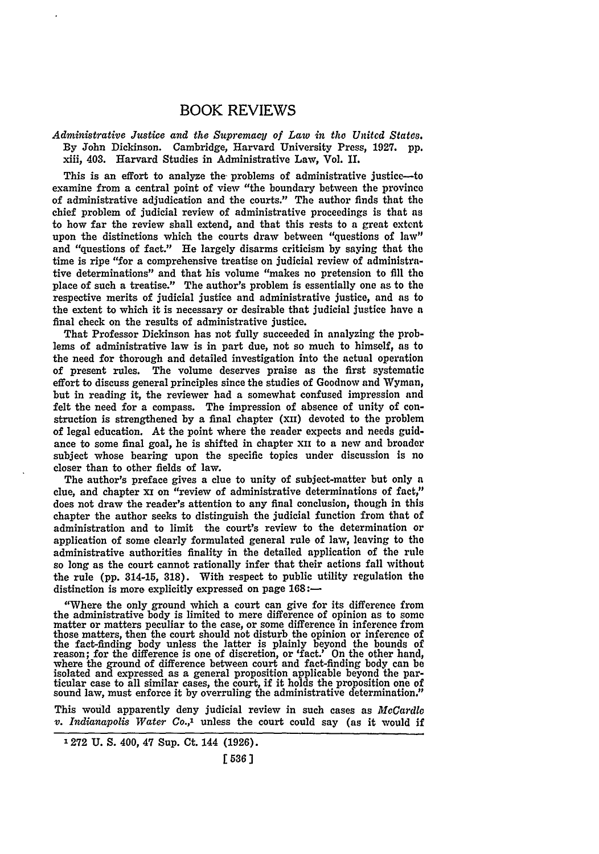# BOOK REVIEWS

*Administrative Justice and the Supremacy of Law in the United* States. **By** John Dickinson. Cambridge, Harvard University Press, 1927. pp. xiii, 403. Harvard Studies in Administrative Law, Vol. **I.**

This is an effort to analyze the problems of administrative justice--to examine from a central point of view "the boundary between the province of administrative adjudication and the courts." The author finds that the chief problem of judicial review of administrative proceedings is that as to how far the review shall extend, and that this rests to a great extent upon the distinctions which the courts draw between "questions of law" and "questions of fact." He largely disarms criticism by saying that the time is ripe "for a comprehensive treatise on judicial review of administrative determinations" and that his volume "makes no pretension to fill the place of such a treatise." The author's problem is essentially one as to the respective merits of judicial justice and administrative justice, and as to the extent to which it is necessary or desirable that judicial justice have a final check on the results of administrative justice.

That Professor Dickinson has not fully succeeded in analyzing the problems of administrative law is in part due, not so much to himself, as to the need for thorough and detailed investigation into the actual operation of present rules. The volume deserves praise as the first systematic effort to discuss general principles since the studies of Goodnow and Wyman, but in reading it, the reviewer had a somewhat confused impression and felt the need for a compass. The impression of absence of unity of construction is strengthened **by** a final chapter (xii) devoted to the problem of legal education. At the point where the reader expects and needs guidance to some final goal, he is shifted in chapter xii to a new and broader subject whose bearing upon the specific topics under discussion is no closer than to other fields of law.

The author's preface gives a clue to unity of subject-matter but only **a** clue, and chapter **xi** on "review of administrative determinations of fact," does not draw the reader's attention to any final conclusion, though in this chapter the author seeks to distinguish the judicial function from that of administration and to limit the court's review to the determination or application of some clearly formulated general rule of law, leaving to the administrative authorities finality in the detailed application of the rule so long as the court cannot rationally infer that their actions **fall** without the rule **(pp.** 314-15, **318).** With respect to public utility regulation the distinction is more explicitly expressed on page  $168$ **:**-

"Where the only ground which a court can give for its difference from the administrative body is limited to mere difference of opinion as to some matter or matters peculiar to the case, or some difference in inference from those matters, then the court should not disturb the opinion or inference of the fact-finding body unless the latter is plainly beyond the bounds of reason; for the difference is one of discretion, or 'fact.' On the other where the ground of difference between court and fact-finding body can **be** isolated and expressed as a general proposition applicable beyond the particular case to all similar cases, the court, if it holds the proposition one of sound law, must enforce it by overruling the administrative determination.

This would apparently deny judicial review in such cases as *MeCardlo v. Indianapolis Water Co.,'* unless the court could say (as it would if

<sup>&#</sup>x27;272 U. **S.** 400, 47 Sup. Ct. 144 **(1926).**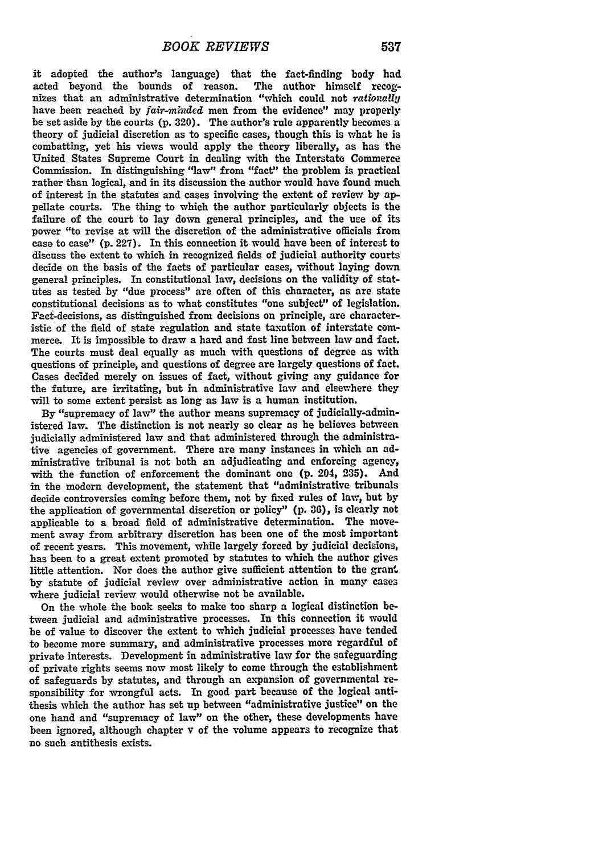it adopted the author's language) that the fact-finding body had acted beyond the bounds of reason. The author himself recognizes that an administrative determination "which could not *rationally* have been reached by *fair-minded* men from the evidence" may properly be set aside by the courts **(p. 320).** The author's rule apparently becomes a theory of judicial discretion as to specific cases, though this is what he is combatting, yet his views would apply the theory liberally, as has the United States Supreme Court in dealing with the Interstate Commerce Commission. In distinguishing "law" from "fact" the problem is practical rather than logical, and in its discussion the author would have found much of interest in the statutes and cases involving the extent of review by appellate courts. The thing to which the author particularly objects is the failure of the court to lay down general principles, and the use of its power "to revise at will the discretion of the administrative officials from case to case" **(p.** 227). In this connection it would have been of interest to discuss the extent to which in recognized fields of judicial authority courts decide on the basis of the facts of particular cases, without laying down general principles. In constitutional law, decisions on the validity of statutes as tested by "due process" are often of this character, as are state constitutional decisions as to what constitutes "one subject" of legislation. Fact-decisions, as distinguished from decisions on principle, are characteristic of the field of state regulation and state taxation of interstate commerce. It is impossible to draw a hard and fast line between law and fact. The courts must deal equally as much with questions of degree as with questions of principle, and questions of degree are largely questions of fact. Cases decided merely on issues of fact, without giving any guidance for the future, are irritating, but in administrative law and elsewhere they will to some extent persist as long as law is a human institution.

By "supremacy of law" the author means supremacy of judicially-administered law. The distinction is not nearly so clear as he believes between judicially administered law and that administered through the administrative agencies of government. There are many instances in which an administrative tribunal is not both an adjudicating and enforcing agency, with the function of enforcement the dominant one (p. 204, **235).** And in the modern development, the statement that "administrative tribunals decide controversies coming before them, not by fixed rules of law, but **by** the application of governmental discretion or policy" **(p. 36),** is clearly not applicable to a broad field of administrative determination. The movement away from arbitrary discretion has been one of the most important of recent years. This movement, while largely forced by judicial decisions, has been to a great extent promoted by statutes to which the author gives little attention. Nor does the author give sufficient attention to the grant by statute of judicial review over administrative action in many cases where judicial review would otherwise not be available.

On the whole the book seeks to make too sharp a logical distinction between judicial and administrative processes. In this connection it would be of value to discover the extent to which judicial processes have tended to become more summary, and administrative processes more regardful of private interests. Development in administrative law for the safeguarding of private rights seems now most likely to come through the establishment of safeguards by statutes, and through an expansion of governmental responsibility for wrongful acts. In good part because of the logical antithesis which the author has set up between "administrative justice" on the one hand and "supremacy of law" on the other, these developments have been ignored, although chapter v of the volume appears to recognize that no such antithesis exists.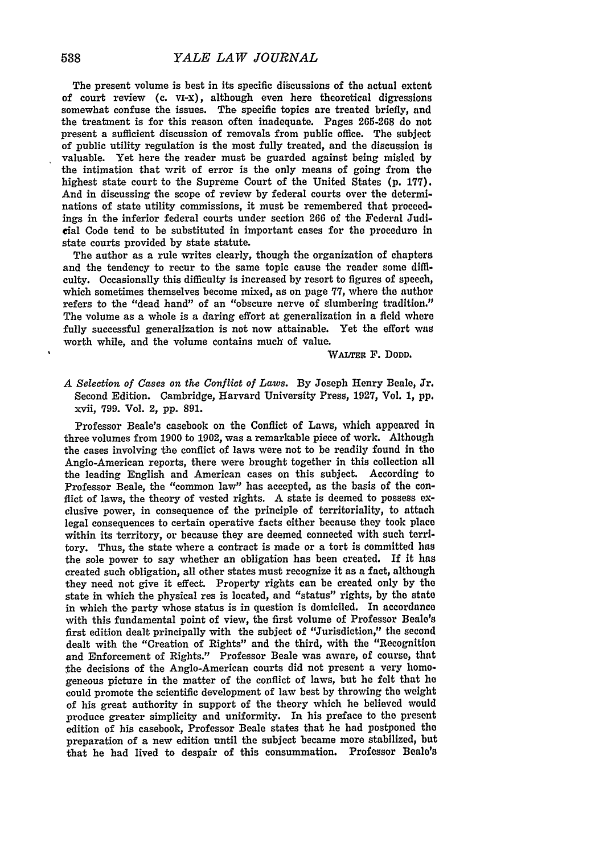The present volume is best in its specific discussions of the actual extent of court review (c. vI-x), although even here theoretical digressions somewhat confuse the issues. The specific topics are treated briefly, and the treatment is for this reason often inadequate. Pages **265-268** do not present a sufficient discussion of removals from public office. The subject of public utility regulation is the most fully treated, and the discussion is valuable. Yet here the reader must be guarded against being misled by the intimation that writ of error is the only means of going from the highest state court to the Supreme Court of the United States **(p. 177).** And in discussing the scope of review by federal courts over the determinations of state utility commissions, it must be remembered that proceedings in the inferior federal courts under section 266 of the Federal Judicial Code tend to be substituted in important cases for the procedure in state courts provided by state statute.

The author as a rule writes clearly, though the organization of chapters and the tendency to recur to the same topic cause the reader some difficulty. Occasionally this difficulty is increased by resort to figures of speech, which sometimes themselves become mixed, as on page **77,** where the author refers to the "dead hand" of an "obscure nerve of slumbering tradition." The volume as a whole is a daring effort at generalization in a **field** where fully successful generalization is not now attainable. Yet the effort was worth while, and the volume contains much of value.

**WALTEn** F. **DODD.**

*A Selection of Cases on the Conflict of Laws.* **By** Joseph Henry Beale, Jr. Second Edition. Cambridge, Harvard University Press, 1927, Vol. 1, **pp.** xvii, 799. Vol. 2, **pp.** 891.

Professor Beale's casebook on the Conflict of Laws, which appeared in three volumes from 1900 to 1902, was a remarkable piece of work. Although the cases involving the conflict of laws were not to be readily found in the Anglo-American reports, there were brought together in this collection all the leading English and American cases on this subject. According to Professor Beale, the "common law" has accepted, as the basis of the conflict of laws, the theory of vested rights. A state is deemed to possess exclusive power, in consequence of the principle of territoriality, to attach legal consequences to certain operative facts either because they took place within its territory, or because they are deemed connected with such territory. Thus, the state where a contract is made or a tort is committed has the sole power to say whether an obligation has been created. If it has created such obligation, all other states must recognize it as a fact, although they need not give it effect. Property rights can be created only by the state in which the physical res is located, and "status" rights, by the state in which the party whose status is in question is domiciled. In accordance with this fundamental point of view, the first volume of Professor Bealo's first edition dealt principally with the subject of "Jurisdiction," the second dealt with the "Creation of Rights" and the third, with the "Recognition and Enforcement of Rights." Professor Beale was aware, of course, that the decisions of the Anglo-American courts did not present a very homogeneous picture in the matter of the conflict of laws, but he felt that **he** could promote the scientific development of law best by throwing the weight of his great authority in support of the theory which he believed would produce greater simplicity and uniformity. In his preface to the present edition of his casebook, Professor Beale states that he had postponed the preparation of a new edition until the subject became more stabilized, but that he had lived to despair of this consummation. Professor Beale's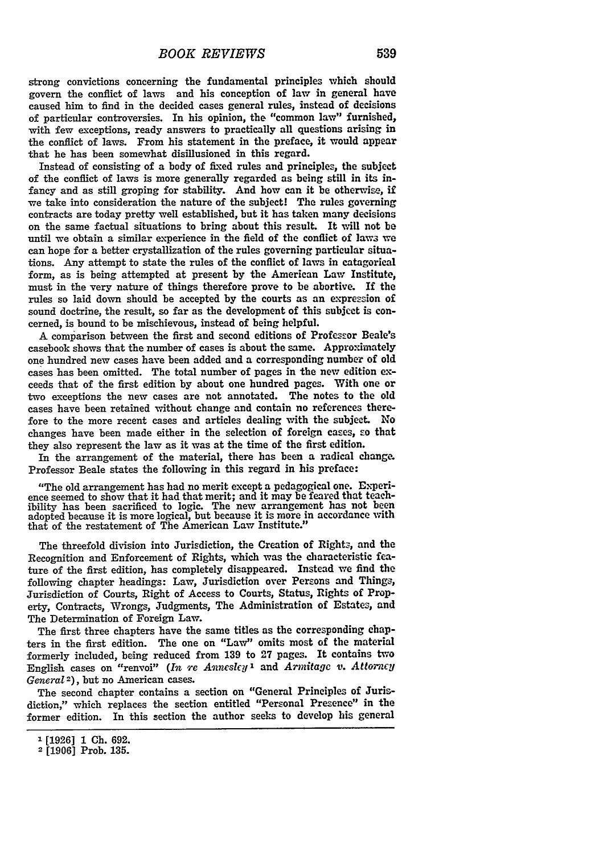539

strong convictions concerning the fundamental principles which should govern the conflict of laws and his conception of law in general have caused him to find in the decided eases general rules, instead of decisions of particular controversies. In his opinion, the "common law" furnished, with few exceptions, ready answers to practically all questions arising in the conflict of laws. From his statement in the preface, it would appear that he has been somewhat disillusioned in this regard.

Instead of consisting of a body of fixed rules and principles, the subject of the conflict of laws is more generally regarded as being still in its infancy and as still groping for stability. And how can it be otherwize, if we take into consideration the nature of the subject! The rules governing contracts are today pretty well established, but it has taken many decisions on the same factual situations to bring about this result. It will not be until we obtain a similar experience in the field of the conflict of laws we can hope for a better crystallization of the rules governing particular situations. Any attempt to state the rules of the conflict of laws in catagorical form, as is being attempted at present by the American Law Institute, must in the very nature of things therefore prove to be abortive. If the rules so laid down should be accepted by the courts as an expression of sound doctrine, the result, so far as the development of this subject is concerned, is bound to be mischievous, instead of being helpful.

A comparison between the first and second editions of Professor Beale's casebook shows that the number of cases is about the same. Approximately one hundred new cases have been added and a corresponding number of old cases has been omitted. The total number of pages in the new edition exceeds that of the first edition by about one hundred pages. With one or two exceptions the new cases are not annotated. The notes to the old cases have been retained without change and contain no references therefore to the more recent cases and articles dealing with the subject. No changes have been made either in the selection of foreign cases, so that they also represent the law as it was at the time of the first edition.

In the arrangement of the material, there has been a radical change. Professor Beale states the following in this regard in his preface:

"The old arrangement has had no merit except a pedagogical one. Experi-The concession of the show that it had that merit; and it may be feared that teach-<br>ibility has been sacrificed to logic. The new arrangement has not been<br>adopted because it is more logical, but because it is more in accor that of the restatement of The American Law Institute."

The threefold division into Jurisdiction, the Creation of Rights, and the Recognition and Enforcement of Rights, which was the characteristic feature of the first edition, has completely disappeared. Instead we find the following chapter headings: Law, Jurisdiction over Persons and Things, Jurisdiction of Courts, Right of Access to Courts, Status, Rights of Property, Contracts, Wrongs, Judgments, The Administration of Estates, and The Determination of Foreign Law.

The first three chapters have the same titles as the corresponding chapters in the first edition. The one on "Law" omits most of the material formerly included, being reduced from **139** to **27** pages. It contains two English eases on "renvoi" *(In re AnnslcyI* and *Armitage* v. *Attorney General*<sup>2</sup>), but no American cases.

The second chapter contains a section on "General Principles of Jurisdiction," which replaces the section entitled "Personal Presence" in the former edition. In this section the author seeks to develop his general

**<sup>1</sup>** [1926] 1 **Ch.** 692.

**<sup>2</sup>** [1906] Prob. 135.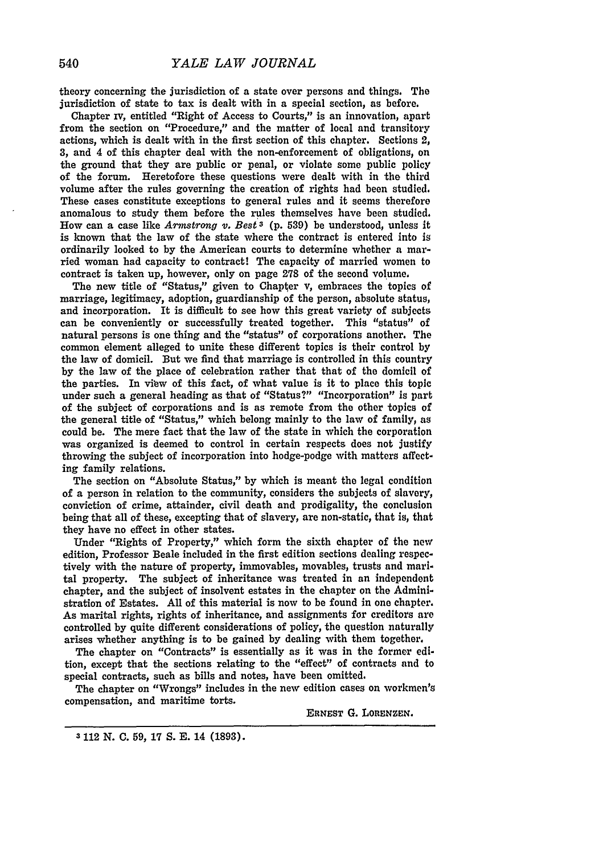theory concerning the jurisdiction of a state over persons and things. The jurisdiction of state to tax is dealt with in a special section, as before.

Chapter iv, entitled "Right of Access to Courts," is an innovation, apart from the section on "Procedure," and the matter of local and transitory actions, which is dealt with in the first section of this chapter. Sections 2, **3,** and 4 of this chapter deal with the non-enforcement of obligations, on the ground that they are public or penal, or violate some public policy of the forum. Heretofore these questions were dealt with in the third volume after the rules governing the creation of rights had been studied. These cases constitute exceptions to general rules and it seems therefore anomalous to study them before the rules themselves have been studied. How can a case like *Armstrong v. Best* **3 (p. 539)** be understood, unless it is known that the law of the state where the contract is entered into is ordinarily looked to **by** the American courts to determine whether a married woman had capacity to contract! The capacity of married women to contract is taken up, however, only on page **278** of the second volume.

The new title of "Status," given to Chapter v, embraces the topics of marriage, legitimacy, adoption, guardianship of the person, absolute status, and incorporation. It is difficult to see how this great variety of subjects can be conveniently or successfully treated together. This "status" of natural persons is one thing and the "status" of corporations another. The common element alleged to unite these different topics is their control **by** the law of domicil. But we find that marriage is controlled in this country **by** the law of the place of celebration rather that that of the domicil of the parties. In view of this fact, of what value is it to place this topic under such a general heading as that of "Status?" "Incorporation" is part of the subject of corporations and is as remote from the other topics of the general title of "Status," which belong mainly to the law of family, as could be. The mere fact that the law of the state in which the corporation was organized is deemed to control in certain respects does not justify throwing the subject of incorporation into hodge-podge with matters affecting family relations.

The section on "Absolute Status," **by** which is meant the legal condition of a person in relation to the community, considers the subjects of slavery, conviction of crime, attainder, civil death and prodigality, the conclusion being that all of these, excepting that of slavery, are non-static, that is, that they have no effect in other states.

Under "Rights of Property," which form the sixth chapter of the new edition, Professor Beale included in the first edition sections dealing respectively with the nature of property, immovables, movables, trusts and marital property. The subject of inheritance was treated in an independent chapter, and the subject of insolvent estates in the chapter on the Administration of Estates. All of this material is now to be found in one chapter. As marital rights, rights of inheritance, and assignments for creditors are controlled by quite different considerations of policy, the question naturally arises whether anything is to be gained by dealing with them together.

The chapter on "Contracts" is essentially as it was in the former edition, except that the sections relating to the "effect" of contracts and to special contracts, such as bills and notes, have been omitted.

The chapter on "Wrongs" includes in the new edition cases on workmen's compensation, and maritime torts.

**ERNEST G.** LORENZEN.

**<sup>3</sup>** 112 **N. C. 59, 17 S. E.** 14 **(1893).**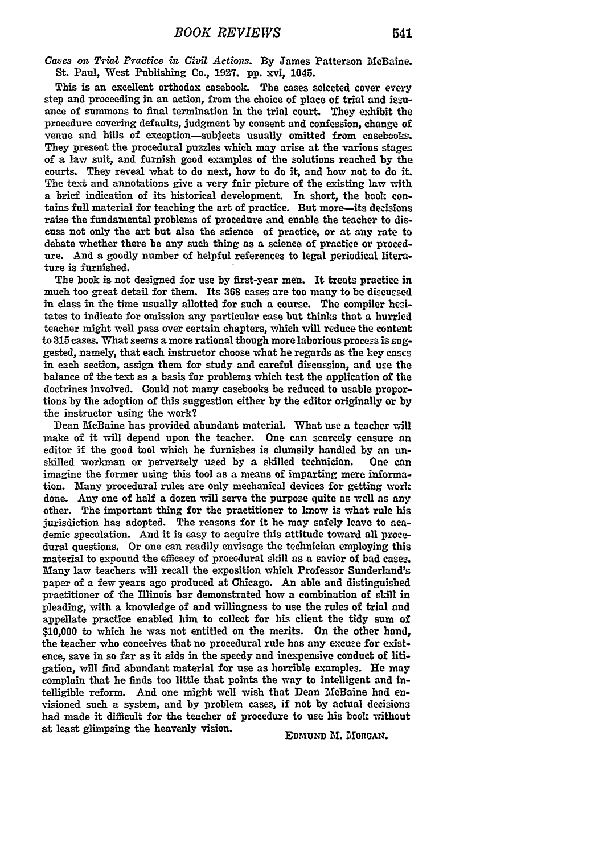*Cases on Trial Practice in Ciril Actions.* **By** James Patterson MeBaine. St. Paul, West Publishing Co., **1927. pp.** xvi, 1045.

This is an excellent orthodox casebook. The cases selected cover every step and proceeding in an action, from the choice of place of trial and issuance of summons to final termination in the trial court. They exhibit the procedure covering defaults, judgment by consent and confession, change of venue and bills of exception-subjects usually omitted from casebooks. They present the procedural puzzles which may arise at the various stages of a law suit, and furnish good examples of the solutions reached **by** the courts. They reveal what to do next, how to do it, and how not to do it. The text and annotations give a very fair picture of the existing law with a brief indication of its historical development. In short, the book contains full material for teaching the art of practice. But more-its decisions raise the fundamental problems of procedure and enable the teacher to discuss not only the art but also the science of practice, or at any rate to debate whether there be any such thing as a science of practice or procedure. And a goodly number of helpful references to legal periodical literature is furnished.

The book is not designed for use by first-year men. It treats practice in much too great detail for them. Its **368** cases are too many to be discussed in class in the time usually allotted for such a course. The compiler hesitates to indicate for omission any particular case but thinks that a hurried teacher might well pass over certain chapters, which will reduce the content to **315** cases. What seems a more rational though more laborious process is **sug**gested, namely, that each instructor choose what he regards as the key cases in each section, assign them for study and careful discussion, and use the balance of the text as a basis for problems which test the application of the doctrines involved. Could not many casebooks be reduced to usable proportions **by** the adoption of this suggestion either **by** the editor originally or **by** the instructor using the work?

Dean MeBaine has provided abundant material. What use a teacher will make of it will depend upon the teacher. One can scarcely censure an editor if the good tool which he furnishes is clumsily handled **by** an unskilled workman or perversely used **by** a skilled technician. One can imagine the former using this tool as a means of imparting mere information. Many procedural rules are only mechanical devices for getting Work done. Any one of half a dozen will serve the purpose quite as well as any other. The important thing for the practitioner to know is what rule his jurisdiction has adopted. The reasons for it he may safely leave to academic speculation. And it is easy to acquire this attitude toward all procedural questions. Or one can readily envisage the technician employing this material to expound the efficacy of procedural skill as a savior of bad cases. Many law teachers will recall the exposition which Professor Sunderland's paper of a few years ago produced at Chicago. An able and distinguished practitioner of the Illinois bar demonstrated how a combination of skill in pleading, with a knowledge of and willingness to use the rules of trial and appellate practice enabled him to collect for his client the tidy sum of \$10,000 to which he was not entitled on the merits. On the other hand, the teacher who conceives that no procedural rule has any excuse for existence, save in so far as it aids in the speedy and inexpensive conduct of litigation, will find abundant material for use as horrible examples. He may complain that he finds too little that points the way to intelligent and intelligible reform. And one might well wish that Dean MeBaine had envisioned such a system, and by problem cases, if not by actual decisions had made it difficult for the teacher of procedure to use his book without at least glimpsing the heavenly vision. **EDMUND M. MONGAN.**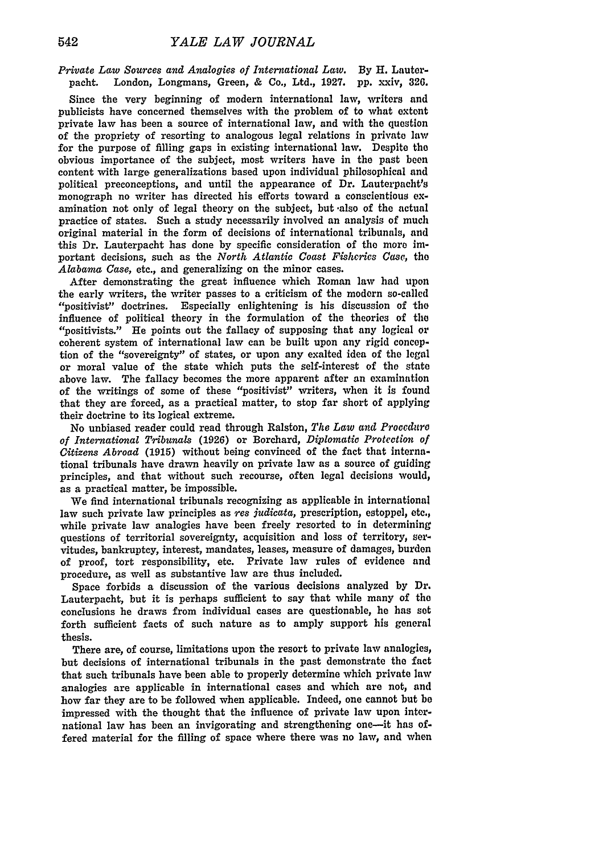*Private Law Sources and Analogies of International Law.* By H. Lauterpacht. London, Longmans, Green, & Co., Ltd., 1927. pp. *xxiv,* **326.**

Since the very beginning of modern international law, writers and publicists have concerned themselves with the problem of to what extent private law has been a source of international law, and with the question of the propriety of resorting to analogous legal relations in private law for the purpose of filling gaps in existing international law. Despite the obvious importance of the subject, most writers have in the past been content with large generalizations based upon individual philosophical and political preconceptions, and until the appearance of Dr. Lauterpacht's monograph no writer has directed his efforts toward a conscientious examination not only of legal theory on the subject, but -also of the actual practice of states. Such a study necessarily involved an analysis of much original material in the form of decisions of international tribunals, and this Dr. Lauterpacht has done by specific consideration of the more important decisions, such as the *North Atlantic Coast Fisherics Case,* the *Alabama Case,* etc., and generalizing on the minor cases.

After demonstrating the great influence which Roman law had upon the early writers, the writer passes to a criticism of the modern so-called "positivist" doctrines. Especially enlightening is his discussion of the influence of political theory in the formulation of the theories of the "positivists." He points out the fallacy of supposing that any logical or coherent system of international law can be built upon any rigid conception of the "sovereignty" of states, or upon any exalted idea of the legal or moral value of the state which puts the self-interest of the state above law. The fallacy becomes the more apparent after an examination of the writings of some of these "positivist" writers, when it is found that they are forced, as a practical matter, to stop far short of applying their doctrine to its logical extreme.

No unbiased reader could read through Ralston, *The Law and Procedure of International Tribunals* (1926) or Borchard, *Diplomatic Protection of Citizens Abroad* (1915) without being convinced of the fact that international tribunals have drawn heavily on private law as a source of guiding principles, and that without such recourse, often legal decisions would, as a practical matter, be impossible.

We find international tribunals recognizing as applicable in international law such private law principles as *res judicata,* prescription, estoppel, etc., while private law analogies have been freely resorted to in determining questions of territorial sovereignty, acquisition and loss of territory, servitudes, bankruptcy, interest, mandates, leases, measure of damages, burden of proof, tort responsibility, etc. Private law rules of evidence and procedure, as well as substantive law are thus included.

Space forbids a discussion of the various decisions analyzed by Dr. Lauterpacht, but it is perhaps sufficient to say that while many of the conclusions he draws from individual cases are questionable, he has sot forth sufficient facts of such nature as to amply support his general thesis.

There are, of course, limitations upon the resort to private law analogies, but decisions of international tribunals in the past demonstrate the fact that such tribunals have been able to properly determine which private law analogies are applicable in international cases and which are not, and how far they are to be followed when applicable. Indeed, one cannot but be impressed with the thought that the influence of private law upon international law has been an invigorating and strengthening one-it has offered material for the filling of space where there was no law, and when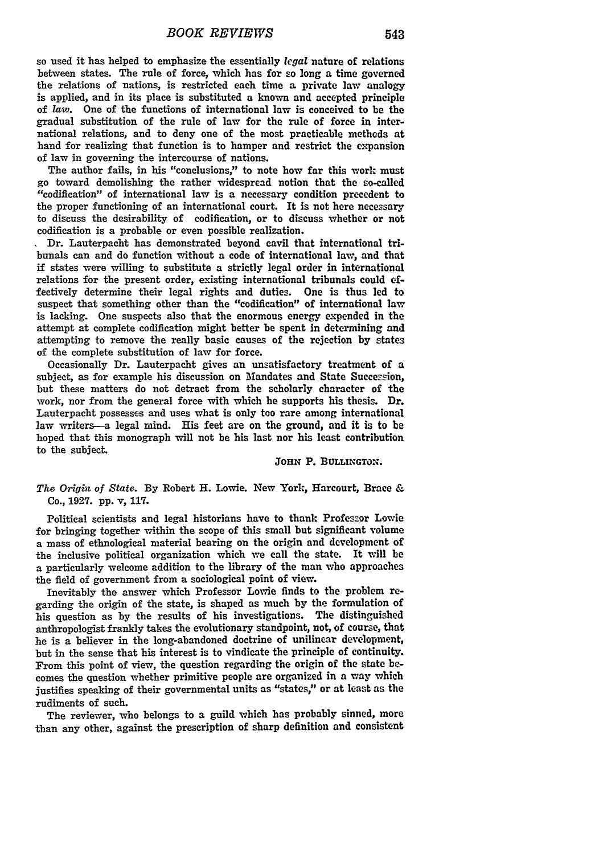so used it has helped to emphasize the essentially *legal* nature of relations between states. The rule of force, which has for so long a time governed the relations of nations, is restricted each time a private law analogy is applied, and in its place is substituted a known and accepted principle *of law.* One of the functions of international law is conceived to be the gradual substitution of the rule of law for the rule of force in international relations, and to deny one of the most practicable methods at hand for realizing that function is to hamper and restrict the expansion of law in governing the intercourse of nations.

The author fails, in his "conclusions," to note how far this work must go toward demolishing the rather widespread notion that the so-called "codification" of international law is a necessary condition precedent to the proper functioning of an international court. It is not here necessary to discuss the desirability of codification, or to discuss whether or not codification is a probable or even possible realization.

Dr. Lauterpacht has demonstrated beyond cavil that international tribunals can and do function without a code of international law, and that if states were willing to substitute a strictly legal order in international relations for the present order, existing international tribunals could **ef**fectively determine their legal rights and duties. One is thus led to suspect that something other than the "codification" of international law is lacking. One suspects also that the enormous energy expended in the attempt at complete codification might better be spent in determining and attempting to remove the really basic causes of the rejection by states of the complete substitution of law for force.

Occasionally Dr. Lauterpacht gives an unsatisfactory treatment of a subject, as for example his discussion on Mandates and State Succesion, but these matters do not detract from the scholarly character of the work, nor from the general force with which he supports his thesis. Dr. Lauterpacht possesses and uses what is only too rare among international law writers-a legal mind. His feet are on the ground, and it is to **be** hoped that this monograph will not be his last nor his least contribution to the subject.

JOHN P. **BULLINGTON.**

*The Origin of State.* By Robert H. Lowie. New York, Harcourt, Brace & Co., 1927. **pp.** v, 117.

Political scientists and legal historians have to thank Professor Lowie for bringing together within the scope of this small but significant volume a mass of ethnological material bearing on the origin and development **of** the inclusive political organization which we call the state. It will **be** a particularly welcome addition to the library of the man who approaches the field of government from a sociological point of view.

Inevitably the answer which Professor Lowie finds to the problem regarding the origin of the state, is shaped as much by the formulation of his question as by the results of his investigations. The distinguished anthropologist frankly takes the evolutionary standpoint, not, of course, that he is a believer in the long-abandoned doctrine of unilinear development, but in the sense that his interest is to vindicate the principle of continuity. From this point of view, the question regarding the origin of the state becomes the question whether primitive people are organized in a way which justifies speaking of their governmental units as "states," or at least as the rudiments of such.

The reviewer, who belongs to a guild which has probably sinned, more than any other, against the prescription of sharp definition and consistent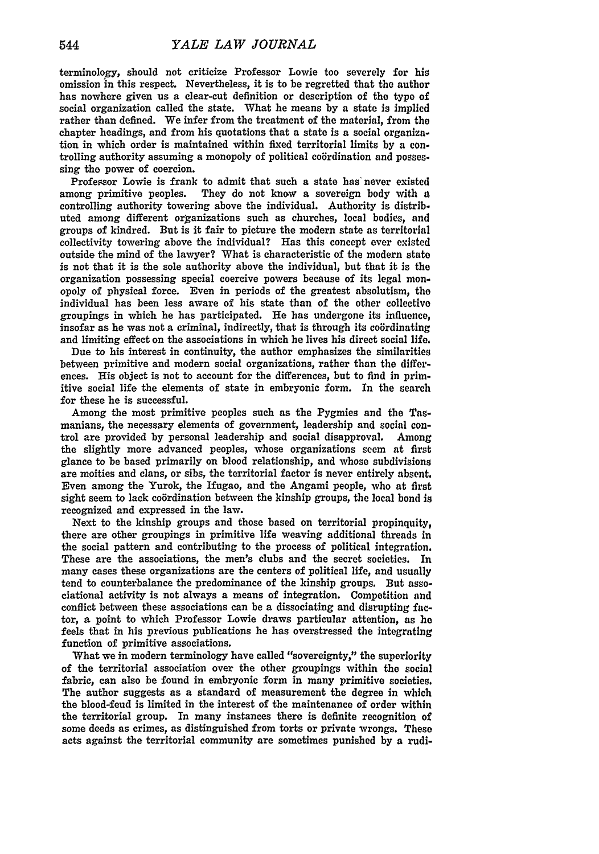terminology, should not criticize Professor Lowie too severely for **his** omission in this respect. Nevertheless, it is to be regretted that the author has nowhere given us a clear-cut definition or description of the type of social organization called the state. What he means by a state is implied rather than defined. We infer from the treatment of the material, from the chapter headings, and from his quotations that a state is a social organization in which order is maintained within fixed territorial limits by a controlling authority assuming a monopoly of political co6rdination and possessing the power of coercion.

Professor Lowie is frank to admit that such a state has never existed among primitive peoples. They do not know a sovereign body with a controlling authority towering above the individual. Authority is distrib. uted among different organizations such as churches, local bodies, and groups of kindred. But is it fair to picture the modern state as territorial collectivity towering above the individual? Has this concept ever existed outside the mind of the lawyer? What is characteristic of the modern state is not that it is the sole authority above the individual, but that it is the organization possessing special coercive powers because of its legal monopoly of physical force. Even in periods of the greatest absolutism, the individual has been less aware of his state than of the other collective groupings in which he has participated. He has undergone its influence, insofar as he was not a criminal, indirectly, that is through its coördinating and limiting effect on the associations in which he lives his direct social life,

Due to his interest in continuity, the author emphasizes the similarities between primitive and modern social organizations, rather than the differences. His object is not to account for the differences, but to find in primitive social life the elements of state in embryonic form. In the search for these he is successful.

Among the most primitive peoples such as the Pygmies and the Tasmanians, the necessary elements of government, leadership and social control are provided **by** personal leadership and social disapproval. Among the slightly more advanced peoples, whose organizations seem at first glance to be based primarily on blood relationship, and whose subdivisions are moities and clans, or sibs, the territorial factor is never entirely absent. Even among the Yurok, the Ifugao, and the Angami people, who at first sight seem to lack coördination between the kinship groups, the local bond is recognized and expressed in the law.

Next to the kinship groups and those based on territorial propinquity, there are other groupings in primitive life weaving additional threads in the social pattern and contributing to the process of political integration. These are the associations, the men's clubs and the secret societies. In many cases these organizations are the centers of political life, and usually tend to counterbalance the predominance of the kinship groups. But associational activity is not always a means of integration. Competition and conflict between these associations can be a dissociating and disrupting factor, a point to which Professor Lowie draws particular attention, **as he** feels that in his previous publications he has overstressed the integrating function of primitive associations.

What we in modern terminology have called "sovereignty," the superiority of the territorial association over the other groupings within the social fabric, can also be found in embryonic form in many primitive societies. The author suggests as a standard of measurement the degree in which the blood-feud is limited in the interest of the maintenance of order within the territorial group. In many instances there is definite recognition of some deeds as crimes, as distinguished from torts or private wrongs. These acts against the territorial community are sometimes punished **by a** rudi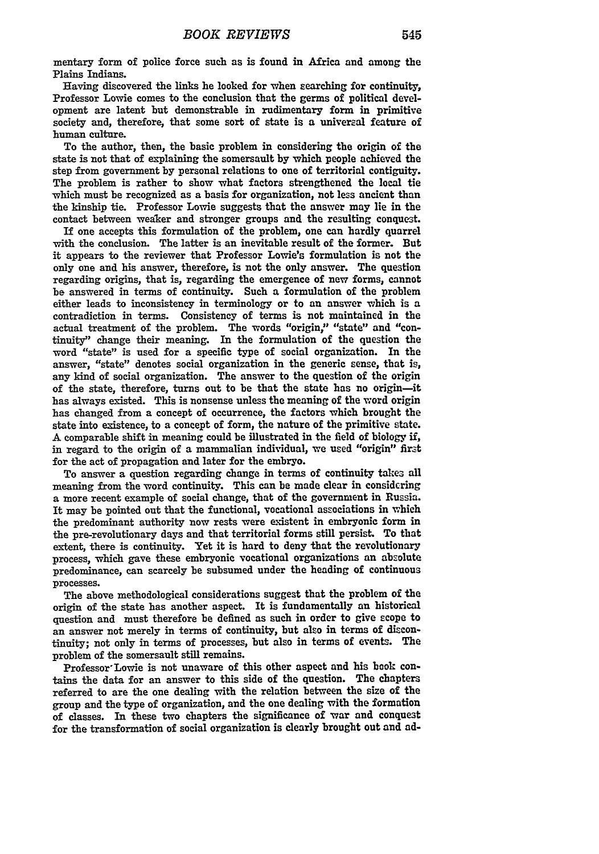mentary form of police force such as is found in Africa and among the Plains Indians.

Having discovered the links he looked for when searching for continuity, Professor Lowie comes to the conclusion that the germs of political development are latent but demonstrable in rudimentary form in primitive society and, therefore, that some sort of state is a universal feature of human culture.

To the author, then, the basic problem in considering the origin of the state is not that of explaining the somersault **by** which people achieved the step from government **by** personal relations to one of territorial contiguity. The problem is rather to show what factors strengthened the local tie which must be recognized as a basis for organization, not less ancient than the kinship tie. Professor Lowie suggests that the answer may lie in the contact between weaker and stronger groups and the resulting conquest.

If one accepts this formulation of the problem, one can hardly quarrel with the conclusion. The latter is an inevitable result of the former. But it appears to the reviewer that Professor Lowie's formulation is not the only one and his answer, therefore, is not the only answer. The question regarding origins, that is, regarding the emergence of new forms, cannot be answered in terms of continuity. Such a formulation of the problem either leads to inconsistency in terminology or to **an** answer which is a contradiction in terms. Consistency of terms is not maintained in the actual treatment of the problem. The words "origin," "state" and "continuity" change their meaning. In the formulation of the question the word "state" is used for a specific type of social organization. In the answer, "state" denotes social organization in the generic sense, that is, any kind of social organization. The answer to the question **of** the origin of the state, therefore, turns out to be that the state has no origin-it has always existed. This is nonsense unless the meaning of the word origin has changed from a concept of occurrence, the factors which brought the state into existence, to a concept of form, the nature of the primitive state. A comparable shift in meaning could be illustrated in the field of biology if, in regard to the origin of a mammalian individual, we used "origin" first for the act of propagation and later for the embryo.

To answer a question regarding change in terms of continuity takes all meaning from the word continuity. This can be made clear in considcring a more recent example of social change, that of the government in Russia. It may be pointed out that the functional, vocational associations in which the predominant authority now rests were existent in embryonic form in the pre-revolutionary days and that territorial forms still persist. To that extent, there is continuity. Yet it is hard to deny that the revolutionary process, which gave these embryonic vocational organizations an absolute predominance, can scarcely be subsumed under the heading of continuous processes.

The above methodological considerations suggest that the problem of the origin of the state has another aspect. It is fundamentally **an** historical question and must therefore be defined as such in order to give zcope to an answer not merely in terms of continuity, but also in terms of discontinuity; not only in terms of processes, but also in terms of events. The problem of the somersault still remains.

Professor'Lowie is not unaware of this other aspect and his book contains the data for an answer to this side of the question. The chapters referred to are the one dealing with the relation between the size of the group and the type of organization, and the one dealing with the formation of classes. In these two chapters the significance of war and conquest for the transformation of social organization is clearly brought out and **ad-**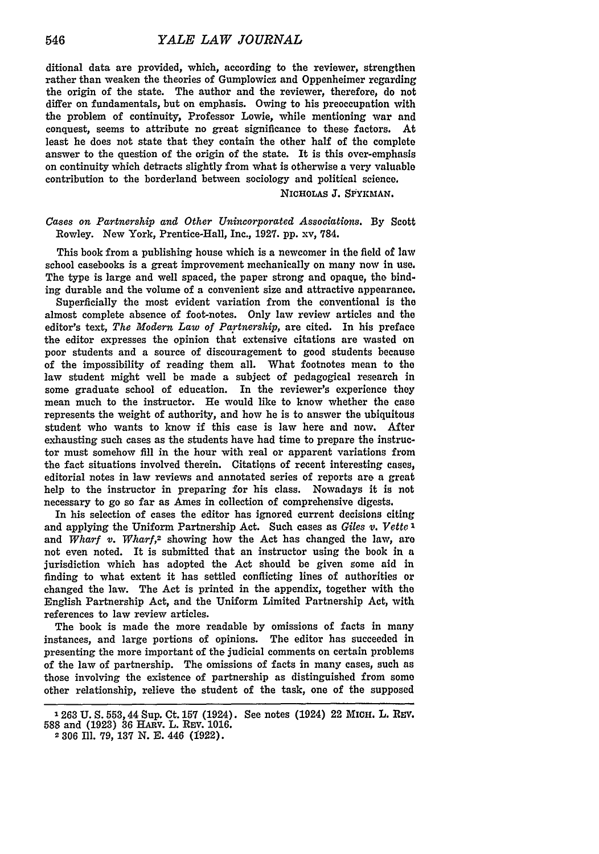ditional data are provided, which, according to the reviewer, strengthen rather than weaken the theories of Gumplowicz and Oppenheimer regarding the origin of the state. The author and the reviewer, therefore, do not differ on fundamentals, but on emphasis. Owing to his preoccupation with the problem of continuity, Professor Lowie, while mentioning war and conquest, seems to attribute no great significance to these factors. At least he does not state that they contain the other half of the complete answer to the question of the origin of the state. It is this over-emphasis on continuity which detracts slightly from what is otherwise a very valuable contribution to the borderland between sociology and political science.

NICHOLAS J. SPYKMAN.

### *Cases on Partnership and Other Unincorporated Associations.* **By** Scott Rowley. New York, Prentice-Hall, Inc., **1927.** pp. xv, 784.

This book from a publishing house which is a newcomer in the field of law school casebooks is a great improvement mechanically on many now in use. The type is large and well spaced, the paper strong and opaque, the binding durable and the volume of a convenient size and attractive appearance.

Superficially the most evident variation from the conventional is the almost complete absence of foot-notes. Only law review articles and the editor's text, *The Modern Law of Partnership,* are cited. In his preface the editor expresses the opinion that extensive citations are wasted on poor students and a source of discouragement to good students because of the impossibility of reading them all. What footnotes mean to the law student might well be made a subject of pedagogical research in some graduate school of education. In the reviewer's experience they mean much to the instructor. He would like to know whether the case represents the weight of authority, and how he is to answer the ubiquitous student who wants to know if this case is law here and now. After exhausting such cases as the students have had time to prepare the instructor must somehow **fill** in the hour with real or apparent variations from the fact situations involved therein. Citations of recent interesting cases, editorial notes in law reviews and annotated series of reports are **a** great help to the instructor in preparing for his class. Nowadays it is not necessary to go so far as Ames in collection of comprehensive digests.

In his selection of cases the editor has ignored current decisions citing and applying the Uniform Partnership Act. Such cases as *Giles v. Vette I* and *Wharf v. Wharf,2* showing how the Act has changed the law, are not even noted. It is submitted that an instructor using the book in a jurisdiction which has adopted the Act should be given some aid in finding to what extent it has settled conflicting lines of authorities or changed the law. The Act is printed in the appendix, together with the English Partnership Act, and the Uniform Limited Partnership Act, with references to law review articles.

The book is made the more readable **by** omissions of facts in many instances, and large portions of opinions. The editor has succeeded in presenting the more important of the judicial comments on certain problems of the law of partnership. The omissions of facts in many cases, such as those involving the existence of partnership as distinguished from some other relationship, relieve the student of the task, one of the supposed

546

**<sup>1263</sup> U. S. 553,** 44 Sup. Ct. **157** (1924). See notes (1924) 22 MiC. L. REV. **588** and **(1923) 36 HARV.** L. Rv. **1016.**

**<sup>2306</sup> fI1. 79, 137 N. E.** 446 **(1922).**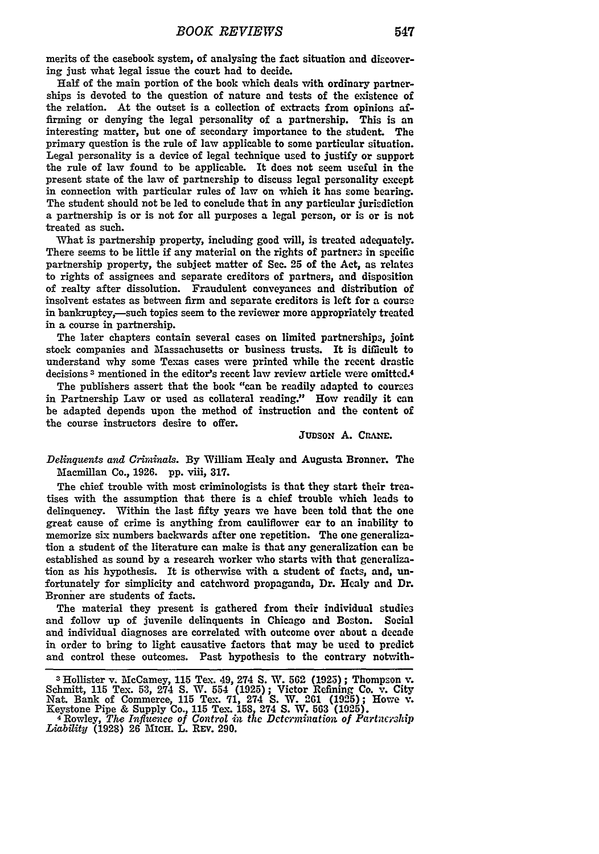merits of the casebook system, of analysing the fact situation and discovering just what legal issue the court had to decide.

Half of the main portion of the book which deals with ordinary partnerships is devoted to the question of nature and tests of the existence of the relation. At the outset is a collection of extracts from opinions affirming or denying the legal personality of a partnership. This is an interesting matter, but one of secondary importance to the student. The primary question is the rule of law applicable to some particular situation. Legal personality is a device of legal technique used to justify or support the rule of law found to be applicable. It does not seem useful in the present state of the law of partnership to discuss legal personality except in connection with particular rules of law on which it has some bearing. The student should not be led to conclude that in any particular jurisdiction a partnership is or is not for all purposes a legal person, or is or is not treated as such.

'What is partnership property, including good will, is treated adequately. There seems to be little if any material on the rights of partners in specific partnership property, the subject matter of Sec. **25** of the Act, as relates to rights of assignees and separate creditors of partners, and disposition of realty after dissolution. Fraudulent conveyances and distribution of insolvent estates as between firm and separate creditors is left for a course in bankruptcy,--such topics seem to the reviewer more appropriately treated in a course in partnership.

The later chapters contain several cases on limited partnerships, joint stock companies and Massachusetts or business trusts. It is dificult to understand why some Texas cases were printed while the recent drastic decisions<sup>3</sup> mentioned in the editor's recent law review article were omitted.<sup>4</sup>

The publishers assert that the book "can be readily adapted to courses in Partnership Law or used as collateral reading." How readily it can be adapted depends upon the method of instruction and the content of the course instructors desire to offer.

#### JUDSON A. CRANE.

## *Delinquents and Criminals.* **By** William Healy and Augusta Bronner. The Macmillan Co., 1926. **pp.** viii, **317.**

The chief trouble with most criminologists is that they start their treatises with the assumption that there is a chief trouble which leads to delinquency. Within the last fifty years we have been told that the one great cause of crime is anything from cauliflower ear to an inability to memorize six numbers backwards after one repetition. The one generalization a student of the literature can make is that any generalization can be established as sound by a research worker who starts with that generalization as his hypothesis. It is otherwise with a student of facts, and, **un**fortunately for simplicity and catchword propaganda, Dr. Healy and Dr. Bronner are students of facts.

The material they present is gathered from their individual studies and follow up of juvenile delinquents in Chicago and Boston. Social and individual diagnoses are correlated with outcome over about a decade in order to bring to light causative factors that may be used to predict and control these outcomes. Past hypothesis to the contrary notwith-

**<sup>3</sup>**Hollister v. McCamey, **115** Tex. 49, 274 S. W. **562** (1925) **;** Thompson v. Schmitt, **115** Tex. **53,** 274 **S.** W. 554 (1925); Victor Refining Co. v. City Nat. Bank of Commerce, **115** Tex. **71,** 274 **S.** W. 261 (1925); Howe v. Keystone Pipe & Supply Co., **115** Tex. **15S 274 S.** W. **563 (1925).**

<sup>4</sup>Rowley, *Te Influence of Control in tic Dctermination of Partalci-rsp Liability* **(1928)** 26 **MICH.** L. REv. 290.